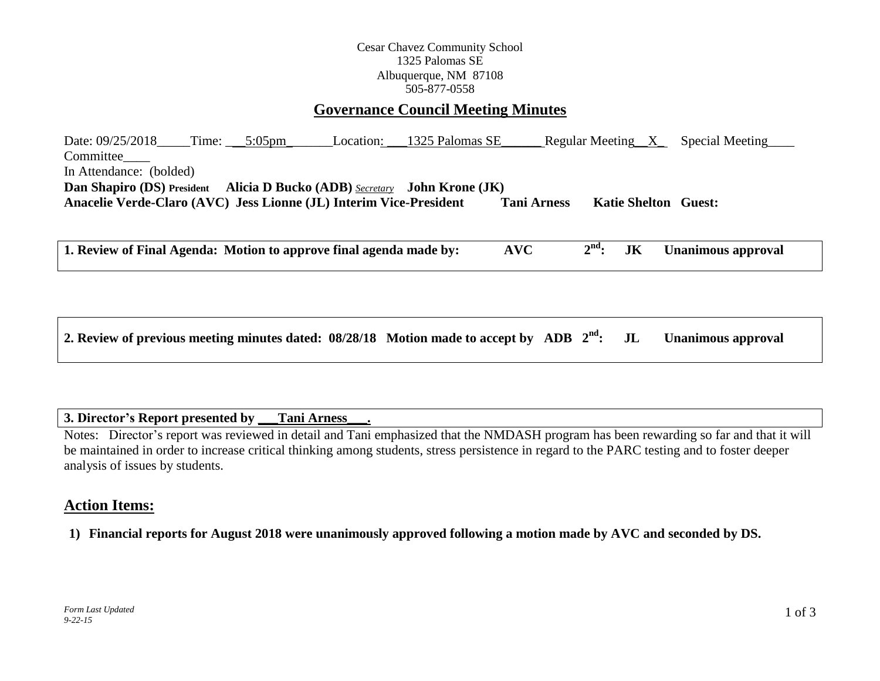## Cesar Chavez Community School 1325 Palomas SE Albuquerque, NM 87108 505-877-0558

## **Governance Council Meeting Minutes**

Date: 09/25/2018\_\_\_\_Time: \_\_\_\_5:05pm\_\_\_\_\_\_\_\_\_Location: \_\_\_1325 Palomas SE\_\_\_\_\_\_\_ Regular Meeting\_\_X\_\_\_\_Special Meeting Committee In Attendance: (bolded) **Dan Shapiro (DS) President Alicia D Bucko (ADB)** *Secretary* **John Krone (JK) Anacelie Verde-Claro (AVC) Jess Lionne (JL) Interim Vice-President Tani Arness Katie Shelton Guest:** 

**1. Review of Final Agenda: Motion to approve final agenda made by: AVC 2 IK Unanimous approval** 

| 2. Review of previous meeting minutes dated: 08/28/18 Motion made to accept by ADB 2 <sup>nd</sup> : JL Unanimous approval |  |  |  |
|----------------------------------------------------------------------------------------------------------------------------|--|--|--|
|----------------------------------------------------------------------------------------------------------------------------|--|--|--|

## **3. Director's Report presented by \_\_\_Tani Arness\_\_\_.**

Notes: Director's report was reviewed in detail and Tani emphasized that the NMDASH program has been rewarding so far and that it will be maintained in order to increase critical thinking among students, stress persistence in regard to the PARC testing and to foster deeper analysis of issues by students.

# **Action Items:**

**1) Financial reports for August 2018 were unanimously approved following a motion made by AVC and seconded by DS.**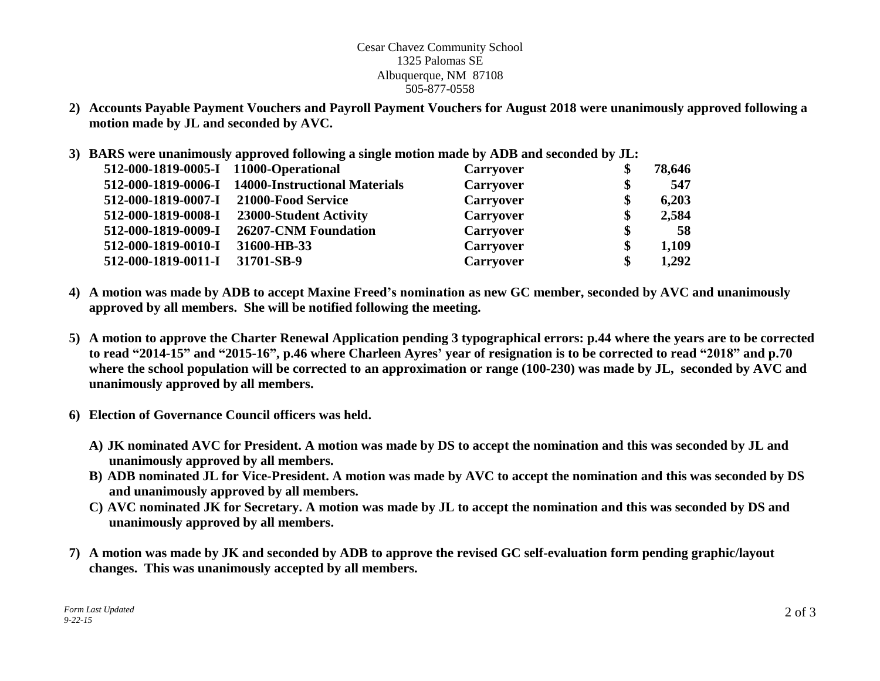#### Cesar Chavez Community School 1325 Palomas SE Albuquerque, NM 87108 505-877-0558

- **2) Accounts Payable Payment Vouchers and Payroll Payment Vouchers for August 2018 were unanimously approved following a motion made by JL and seconded by AVC.**
- **3) BARS were unanimously approved following a single motion made by ADB and seconded by JL:**

| 512-000-1819-0005-I 11000-Operational |                                                   | <b>Carryover</b> | 78,646 |
|---------------------------------------|---------------------------------------------------|------------------|--------|
|                                       | 512-000-1819-0006-I 14000-Instructional Materials | <b>Carryover</b> | 547    |
| 512-000-1819-0007-I                   | 21000-Food Service                                | <b>Carryover</b> | 6,203  |
| 512-000-1819-0008-I                   | 23000-Student Activity                            | <b>Carryover</b> | 2,584  |
| 512-000-1819-0009-I                   | 26207-CNM Foundation                              | <b>Carryover</b> | 58     |
| 512-000-1819-0010-I                   | 31600-HB-33                                       | <b>Carryover</b> | 1,109  |
| 512-000-1819-0011-I                   | 31701-SB-9                                        | Carryover        | 1,292  |

- **4) A motion was made by ADB to accept Maxine Freed's nomination as new GC member, seconded by AVC and unanimously approved by all members. She will be notified following the meeting.**
- **5) A motion to approve the Charter Renewal Application pending 3 typographical errors: p.44 where the years are to be corrected to read "2014-15" and "2015-16", p.46 where Charleen Ayres' year of resignation is to be corrected to read "2018" and p.70 where the school population will be corrected to an approximation or range (100-230) was made by JL, seconded by AVC and unanimously approved by all members.**
- **6) Election of Governance Council officers was held.** 
	- **A) JK nominated AVC for President. A motion was made by DS to accept the nomination and this was seconded by JL and unanimously approved by all members.**
	- **B) ADB nominated JL for Vice-President. A motion was made by AVC to accept the nomination and this was seconded by DS and unanimously approved by all members.**
	- **C) AVC nominated JK for Secretary. A motion was made by JL to accept the nomination and this was seconded by DS and unanimously approved by all members.**
- **7) A motion was made by JK and seconded by ADB to approve the revised GC self-evaluation form pending graphic/layout changes. This was unanimously accepted by all members.**